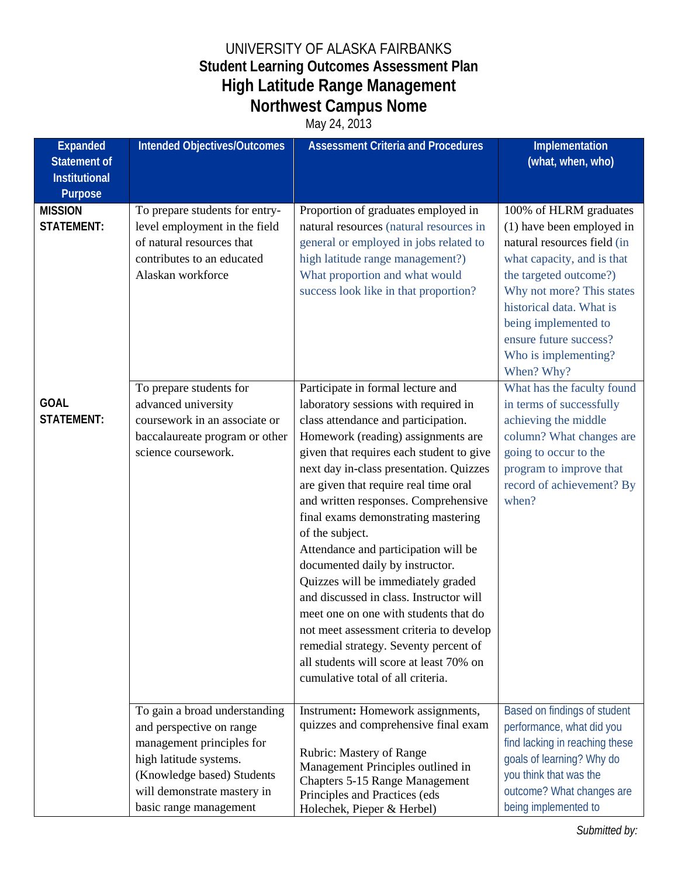## UNIVERSITY OF ALASKA FAIRBANKS **Student Learning Outcomes Assessment Plan High Latitude Range Management Northwest Campus Nome**

May 24, 2013

| <b>Expanded</b><br><b>Statement of</b><br><b>Institutional</b> | <b>Intended Objectives/Outcomes</b>                                                                                                                                                                     | <b>Assessment Criteria and Procedures</b>                                                                                                                                                                                                                                                                                                                                                                                                                                                                                                                                                                                                                                                                                                                         | Implementation<br>(what, when, who)                                                                                                                                                                                                                                                         |
|----------------------------------------------------------------|---------------------------------------------------------------------------------------------------------------------------------------------------------------------------------------------------------|-------------------------------------------------------------------------------------------------------------------------------------------------------------------------------------------------------------------------------------------------------------------------------------------------------------------------------------------------------------------------------------------------------------------------------------------------------------------------------------------------------------------------------------------------------------------------------------------------------------------------------------------------------------------------------------------------------------------------------------------------------------------|---------------------------------------------------------------------------------------------------------------------------------------------------------------------------------------------------------------------------------------------------------------------------------------------|
| Purpose                                                        |                                                                                                                                                                                                         |                                                                                                                                                                                                                                                                                                                                                                                                                                                                                                                                                                                                                                                                                                                                                                   |                                                                                                                                                                                                                                                                                             |
| <b>MISSION</b><br><b>STATEMENT:</b>                            | To prepare students for entry-<br>level employment in the field<br>of natural resources that<br>contributes to an educated<br>Alaskan workforce                                                         | Proportion of graduates employed in<br>natural resources (natural resources in<br>general or employed in jobs related to<br>high latitude range management?)<br>What proportion and what would<br>success look like in that proportion?                                                                                                                                                                                                                                                                                                                                                                                                                                                                                                                           | 100% of HLRM graduates<br>(1) have been employed in<br>natural resources field (in<br>what capacity, and is that<br>the targeted outcome?)<br>Why not more? This states<br>historical data. What is<br>being implemented to<br>ensure future success?<br>Who is implementing?<br>When? Why? |
| <b>GOAL</b><br><b>STATEMENT:</b>                               | To prepare students for<br>advanced university<br>coursework in an associate or<br>baccalaureate program or other<br>science coursework.                                                                | Participate in formal lecture and<br>laboratory sessions with required in<br>class attendance and participation.<br>Homework (reading) assignments are<br>given that requires each student to give<br>next day in-class presentation. Quizzes<br>are given that require real time oral<br>and written responses. Comprehensive<br>final exams demonstrating mastering<br>of the subject.<br>Attendance and participation will be<br>documented daily by instructor.<br>Quizzes will be immediately graded<br>and discussed in class. Instructor will<br>meet one on one with students that do<br>not meet assessment criteria to develop<br>remedial strategy. Seventy percent of<br>all students will score at least 70% on<br>cumulative total of all criteria. | What has the faculty found<br>in terms of successfully<br>achieving the middle<br>column? What changes are<br>going to occur to the<br>program to improve that<br>record of achievement? By<br>when?                                                                                        |
|                                                                | To gain a broad understanding<br>and perspective on range<br>management principles for<br>high latitude systems.<br>(Knowledge based) Students<br>will demonstrate mastery in<br>basic range management | Instrument: Homework assignments,<br>quizzes and comprehensive final exam<br>Rubric: Mastery of Range<br>Management Principles outlined in<br><b>Chapters 5-15 Range Management</b><br>Principles and Practices (eds<br>Holechek, Pieper & Herbel)                                                                                                                                                                                                                                                                                                                                                                                                                                                                                                                | Based on findings of student<br>performance, what did you<br>find lacking in reaching these<br>goals of learning? Why do<br>you think that was the<br>outcome? What changes are<br>being implemented to                                                                                     |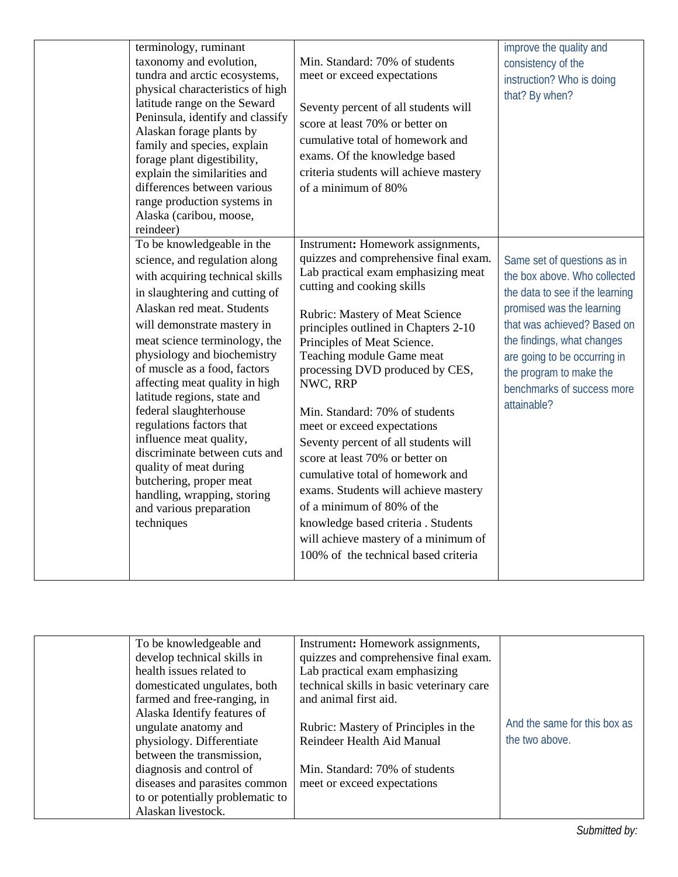| terminology, ruminant<br>taxonomy and evolution,<br>tundra and arctic ecosystems,<br>physical characteristics of high<br>latitude range on the Seward<br>Peninsula, identify and classify<br>Alaskan forage plants by<br>family and species, explain<br>forage plant digestibility,<br>explain the similarities and<br>differences between various<br>range production systems in<br>Alaska (caribou, moose,<br>reindeer)<br>To be knowledgeable in the<br>science, and regulation along<br>with acquiring technical skills | Min. Standard: 70% of students<br>meet or exceed expectations<br>Seventy percent of all students will<br>score at least 70% or better on<br>cumulative total of homework and<br>exams. Of the knowledge based<br>criteria students will achieve mastery<br>of a minimum of 80%<br>Instrument: Homework assignments,<br>quizzes and comprehensive final exam.<br>Lab practical exam emphasizing meat                                                                                                                                                                                                  | improve the quality and<br>consistency of the<br>instruction? Who is doing<br>that? By when?<br>Same set of questions as in<br>the box above. Who collected                                                                       |
|-----------------------------------------------------------------------------------------------------------------------------------------------------------------------------------------------------------------------------------------------------------------------------------------------------------------------------------------------------------------------------------------------------------------------------------------------------------------------------------------------------------------------------|------------------------------------------------------------------------------------------------------------------------------------------------------------------------------------------------------------------------------------------------------------------------------------------------------------------------------------------------------------------------------------------------------------------------------------------------------------------------------------------------------------------------------------------------------------------------------------------------------|-----------------------------------------------------------------------------------------------------------------------------------------------------------------------------------------------------------------------------------|
| in slaughtering and cutting of<br>Alaskan red meat. Students<br>will demonstrate mastery in<br>meat science terminology, the<br>physiology and biochemistry<br>of muscle as a food, factors<br>affecting meat quality in high<br>latitude regions, state and<br>federal slaughterhouse<br>regulations factors that<br>influence meat quality,<br>discriminate between cuts and<br>quality of meat during<br>butchering, proper meat<br>handling, wrapping, storing<br>and various preparation<br>techniques                 | cutting and cooking skills<br><b>Rubric: Mastery of Meat Science</b><br>principles outlined in Chapters 2-10<br>Principles of Meat Science.<br>Teaching module Game meat<br>processing DVD produced by CES,<br>NWC, RRP<br>Min. Standard: 70% of students<br>meet or exceed expectations<br>Seventy percent of all students will<br>score at least 70% or better on<br>cumulative total of homework and<br>exams. Students will achieve mastery<br>of a minimum of 80% of the<br>knowledge based criteria . Students<br>will achieve mastery of a minimum of<br>100% of the technical based criteria | the data to see if the learning<br>promised was the learning<br>that was achieved? Based on<br>the findings, what changes<br>are going to be occurring in<br>the program to make the<br>benchmarks of success more<br>attainable? |

| To be knowledgeable and          | Instrument: Homework assignments,         |                              |
|----------------------------------|-------------------------------------------|------------------------------|
| develop technical skills in      | quizzes and comprehensive final exam.     |                              |
| health issues related to         | Lab practical exam emphasizing            |                              |
| domesticated ungulates, both     | technical skills in basic veterinary care |                              |
| farmed and free-ranging, in      | and animal first aid.                     |                              |
| Alaska Identify features of      |                                           |                              |
| ungulate anatomy and             | Rubric: Mastery of Principles in the      | And the same for this box as |
| physiology. Differentiate        | Reindeer Health Aid Manual                | the two above.               |
| between the transmission,        |                                           |                              |
| diagnosis and control of         | Min. Standard: 70% of students            |                              |
| diseases and parasites common    | meet or exceed expectations               |                              |
| to or potentially problematic to |                                           |                              |
| Alaskan livestock.               |                                           |                              |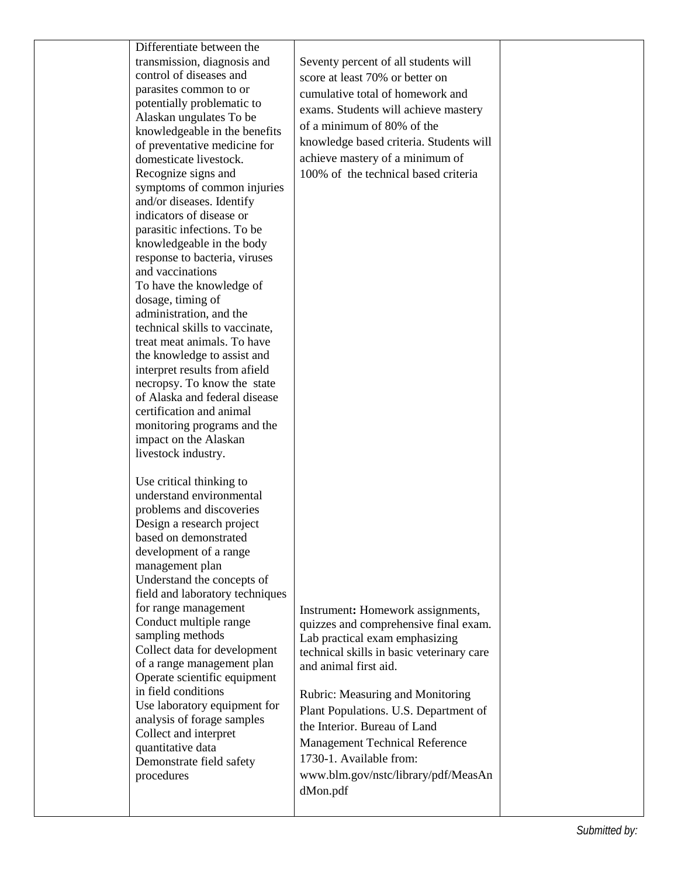|  | Differentiate between the<br>transmission, diagnosis and<br>control of diseases and<br>parasites common to or<br>potentially problematic to<br>Alaskan ungulates To be<br>knowledgeable in the benefits<br>of preventative medicine for<br>domesticate livestock.<br>Recognize signs and<br>symptoms of common injuries<br>and/or diseases. Identify<br>indicators of disease or<br>parasitic infections. To be<br>knowledgeable in the body<br>response to bacteria, viruses<br>and vaccinations<br>To have the knowledge of<br>dosage, timing of<br>administration, and the<br>technical skills to vaccinate,<br>treat meat animals. To have<br>the knowledge to assist and<br>interpret results from afield<br>necropsy. To know the state<br>of Alaska and federal disease<br>certification and animal<br>monitoring programs and the<br>impact on the Alaskan<br>livestock industry.<br>Use critical thinking to<br>understand environmental<br>problems and discoveries<br>Design a research project | Seventy percent of all students will<br>score at least 70% or better on<br>cumulative total of homework and<br>exams. Students will achieve mastery<br>of a minimum of 80% of the<br>knowledge based criteria. Students will<br>achieve mastery of a minimum of<br>100% of the technical based criteria                                                                                                                |  |
|--|------------------------------------------------------------------------------------------------------------------------------------------------------------------------------------------------------------------------------------------------------------------------------------------------------------------------------------------------------------------------------------------------------------------------------------------------------------------------------------------------------------------------------------------------------------------------------------------------------------------------------------------------------------------------------------------------------------------------------------------------------------------------------------------------------------------------------------------------------------------------------------------------------------------------------------------------------------------------------------------------------------|------------------------------------------------------------------------------------------------------------------------------------------------------------------------------------------------------------------------------------------------------------------------------------------------------------------------------------------------------------------------------------------------------------------------|--|
|  | based on demonstrated<br>development of a range<br>management plan<br>Understand the concepts of<br>field and laboratory techniques<br>for range management<br>Conduct multiple range<br>sampling methods<br>Collect data for development<br>of a range management plan<br>Operate scientific equipment<br>in field conditions<br>Use laboratory equipment for<br>analysis of forage samples<br>Collect and interpret<br>quantitative data<br>Demonstrate field safety<br>procedures                                                                                                                                                                                                                                                                                                                                                                                                                                                                                                                       | Instrument: Homework assignments,<br>quizzes and comprehensive final exam.<br>Lab practical exam emphasizing<br>technical skills in basic veterinary care<br>and animal first aid.<br>Rubric: Measuring and Monitoring<br>Plant Populations. U.S. Department of<br>the Interior. Bureau of Land<br><b>Management Technical Reference</b><br>1730-1. Available from:<br>www.blm.gov/nstc/library/pdf/MeasAn<br>dMon.pdf |  |